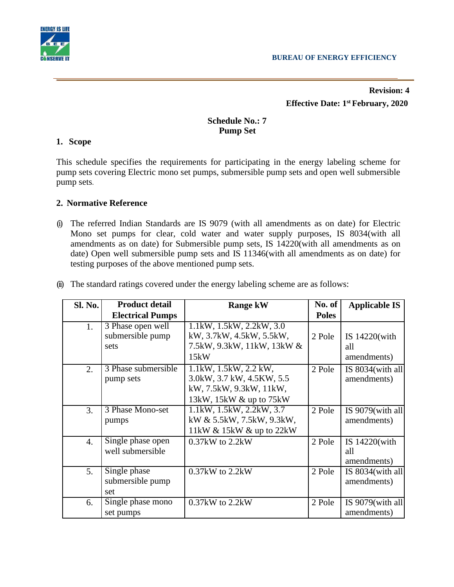

 **Revision: 4 Effective Date: 1st February, 2020**

# **Schedule No.: 7 Pump Set**

#### **1. Scope**

This schedule specifies the requirements for participating in the energy labeling scheme for pump sets covering Electric mono set pumps, submersible pump sets and open well submersible pump sets.

#### **2. Normative Reference**

(i) The referred Indian Standards are IS 9079 (with all amendments as on date) for Electric Mono set pumps for clear, cold water and water supply purposes, IS 8034(with all amendments as on date) for Submersible pump sets, IS 14220(with all amendments as on date) Open well submersible pump sets and IS 11346(with all amendments as on date) for testing purposes of the above mentioned pump sets.

| (ii) The standard ratings covered under the energy labeling scheme are as follows: |  |  |  |
|------------------------------------------------------------------------------------|--|--|--|
|                                                                                    |  |  |  |

| Sl. No.          | <b>Product detail</b>                         | <b>Range kW</b>                                                                                               | No. of       | <b>Applicable IS</b>                   |
|------------------|-----------------------------------------------|---------------------------------------------------------------------------------------------------------------|--------------|----------------------------------------|
|                  | <b>Electrical Pumps</b>                       |                                                                                                               | <b>Poles</b> |                                        |
| 1.               | 3 Phase open well<br>submersible pump<br>sets | 1.1kW, 1.5kW, 2.2kW, 3.0<br>kW, 3.7kW, 4.5kW, 5.5kW,<br>7.5kW, 9.3kW, 11kW, 13kW &<br>15kW                    | 2 Pole       | IS $14220$ (with<br>all<br>amendments) |
| 2.               | 3 Phase submersible<br>pump sets              | 1.1kW, 1.5kW, 2.2 kW,<br>3.0 kW, 3.7 kW, 4.5 KW, 5.5<br>kW, 7.5 kW, 9.3 kW, 11 kW,<br>13kW, 15kW & up to 75kW | 2 Pole       | IS $8034$ (with all<br>amendments)     |
| 3.               | 3 Phase Mono-set<br>pumps                     | 1.1kW, 1.5kW, 2.2kW, 3.7<br>kW & 5.5kW, 7.5kW, 9.3kW,<br>11kW & 15kW & up to 22kW                             | 2 Pole       | IS $9079$ (with all<br>amendments)     |
| $\overline{4}$ . | Single phase open<br>well submersible         | $0.37$ kW to $2.2$ kW                                                                                         | 2 Pole       | IS 14220(with<br>all<br>amendments)    |
| 5.               | Single phase<br>submersible pump<br>set       | 0.37kW to 2.2kW                                                                                               | 2 Pole       | IS $8034$ (with all<br>amendments)     |
| 6.               | Single phase mono<br>set pumps                | $0.37$ kW to $2.2$ kW                                                                                         | 2 Pole       | IS $9079$ (with all<br>amendments)     |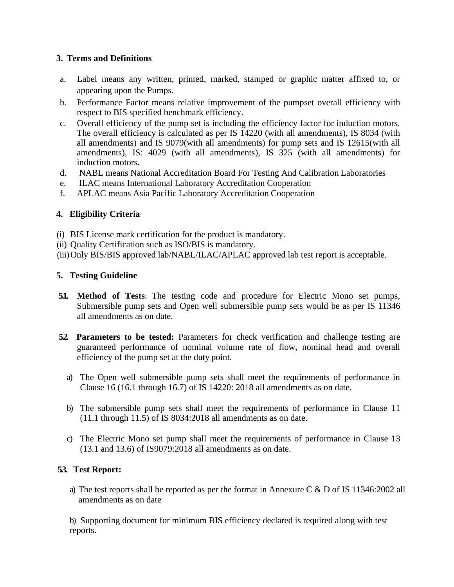#### **3. Terms and Definitions**

- a. Label means any written, printed, marked, stamped or graphic matter affixed to, or appearing upon the Pumps.
- b. Performance Factor means relative improvement of the pumpset overall efficiency with respect to BIS specified benchmark efficiency.
- c. Overall efficiency of the pump set is including the efficiency factor for induction motors. The overall efficiency is calculated as per IS 14220 (with all amendments), IS 8034 (with all amendments) and IS 9079(with all amendments) for pump sets and IS 12615(with all amendments), IS: 4029 (with all amendments), IS 325 (with all amendments) for induction motors.
- d. NABL means National Accreditation Board For Testing And Calibration Laboratories
- e. ILAC means International Laboratory Accreditation Cooperation
- f. APLAC means Asia Pacific Laboratory Accreditation Cooperation

## **4. Eligibility Criteria**

- (i) BIS License mark certification for the product is mandatory.
- (ii) Quality Certification such as ISO/BIS is mandatory.
- (iii)Only BIS/BIS approved lab/NABL/ILAC/APLAC approved lab test report is acceptable.

#### **5. Testing Guideline**

- **5.1.** Method of Tests: The testing code and procedure for Electric Mono set pumps, Submersible pump sets and Open well submersible pump sets would be as per IS 11346 all amendments as on date.
- **5.2. Parameters to be tested:** Parameters for check verification and challenge testing are guaranteed performance of nominal volume rate of flow, nominal head and overall efficiency of the pump set at the duty point.
	- a) The Open well submersible pump sets shall meet the requirements of performance in Clause 16 (16.1 through 16.7) of IS 14220: 2018 all amendments as on date.
	- b) The submersible pump sets shall meet the requirements of performance in Clause 11 (11.1 through 11.5) of IS 8034:2018 all amendments as on date.
	- c) The Electric Mono set pump shall meet the requirements of performance in Clause 13 (13.1 and 13.6) of IS9079:2018 all amendments as on date.

## **5.3. Test Report:**

a) The test reports shall be reported as per the format in Annexure C & D of IS 11346:2002 all amendments as on date

b) Supporting document for minimum BIS efficiency declared is required along with test reports.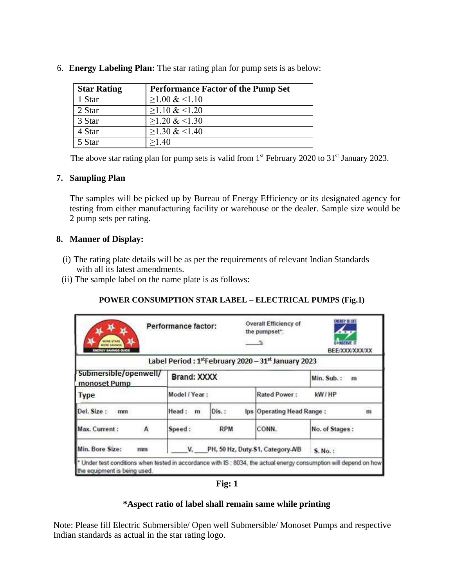| <b>Star Rating</b> | <b>Performance Factor of the Pump Set</b> |
|--------------------|-------------------------------------------|
| 1 Star             | $\geq$ 1.00 & <1.10                       |
| 2 Star             | $\geq$ 1.10 & <1.20                       |
| 3 Star             | $\geq$ 1.20 & <1.30                       |
| 4 Star             | $\geq$ 1.30 & <1.40                       |
| 5 Star             | >1.40                                     |

6. **Energy Labeling Plan:** The star rating plan for pump sets is as below:

The above star rating plan for pump sets is valid from  $1<sup>st</sup>$  February 2020 to 31 $<sup>st</sup>$  January 2023.</sup>

## **7. Sampling Plan**

The samples will be picked up by Bureau of Energy Efficiency or its designated agency for testing from either manufacturing facility or warehouse or the dealer. Sample size would be 2 pump sets per rating.

## **8. Manner of Display:**

- (i) The rating plate details will be as per the requirements of relevant Indian Standards with all its latest amendments.
- (ii) The sample label on the name plate is as follows:

## **POWER CONSUMPTION STAR LABEL – ELECTRICAL PUMPS (Fig.1)**

| <b>Animal Education</b><br><b>WERGY BAVINGS GUIDE</b> | <b>Performance factor:</b>           |                                  | Overall Efficiency of<br>the pumpset":             | <b>MINTER</b><br>$\mathcal{L}_{\infty}$<br><b>CONSTRUS II</b><br>BEE/XXX/XXX/XX |
|-------------------------------------------------------|--------------------------------------|----------------------------------|----------------------------------------------------|---------------------------------------------------------------------------------|
|                                                       |                                      |                                  | Label Period: 1stFebruary 2020 - 31st January 2023 |                                                                                 |
| Submersible/openwell/<br>monoset Pump                 | <b>Brand: XXXX</b>                   |                                  |                                                    | Min. Sub.:<br>m                                                                 |
| <b>Type</b>                                           | Model / Year:<br><b>Rated Power:</b> |                                  | kW/HP                                              |                                                                                 |
| Del. Size:<br>mm                                      | Head:<br>m                           | Dis.:                            | Ips Operating Head Range:<br>m                     |                                                                                 |
| A<br>Max. Current:                                    | Speed:                               | <b>RPM</b>                       | CONN.                                              | No. of Stages:                                                                  |
| Min. Bore Size:<br>mm                                 | v.                                   | PH, 50 Hz, Duty-S1, Category-A/B |                                                    | S. No.:                                                                         |

## **\*Aspect ratio of label shall remain same while printing**

Note: Please fill Electric Submersible/ Open well Submersible/ Monoset Pumps and respective Indian standards as actual in the star rating logo.